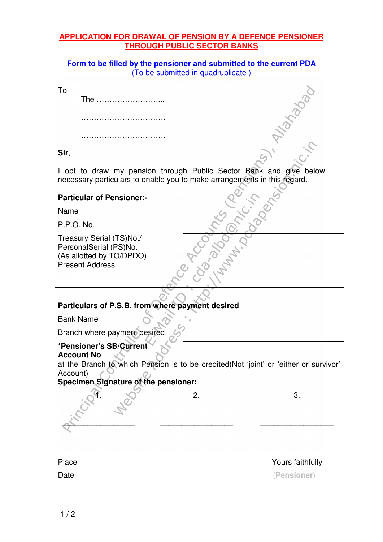#### **APPLICATION FOR DRAWAL OF PENSION BY A DEFENCE PENSIONER THROUGH PUBLIC SECTOR BANKS**

**Form to be filled by the pensioner and submitted to the current PDA**  (To be submitted in quadruplicate )

To

The ……………………...

……………………………

………………………………………

**Sir**,

I opt to draw my pension through Public Sector Bank and give below necessary particulars to enable you to make arrangements in this regard.

### **Particular of Pensioner:-**

Name

P.P.O. No.

Treasury Serial (TS)No./ PersonalSerial (PS)No. (As allotted by TO/DPDO) Present Address

### **Particulars of P.S.B. from where payment desired**

Bank Name

Branch where payment desired

## **\*Pensioner's SB/Current**

**Account No**

at the Branch to which Pension is to be credited(Not 'joint' or 'either or survivor' Account)

### **Specimen Signature of the pensioner:**

\_\_\_\_\_\_\_\_\_\_\_\_\_\_\_\_\_ \_\_\_\_\_\_\_\_\_\_\_\_\_\_\_\_\_ \_\_\_\_\_\_\_\_\_\_\_\_\_\_\_\_\_

 $1.$   $\sqrt{2}$  2. 3.

Place Yours faithfully Date (**Pensioner**)